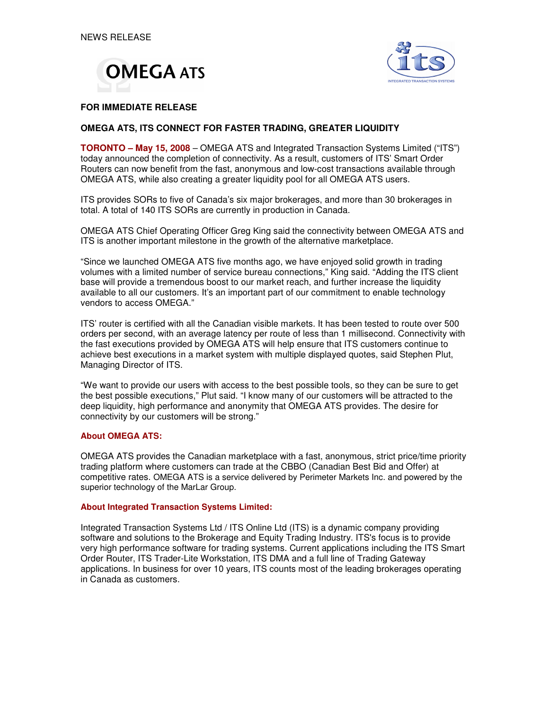



### **FOR IMMEDIATE RELEASE**

## **OMEGA ATS, ITS CONNECT FOR FASTER TRADING, GREATER LIQUIDITY**

**TORONTO – May 15, 2008** – OMEGA ATS and Integrated Transaction Systems Limited ("ITS") today announced the completion of connectivity. As a result, customers of ITS' Smart Order Routers can now benefit from the fast, anonymous and low-cost transactions available through OMEGA ATS, while also creating a greater liquidity pool for all OMEGA ATS users.

ITS provides SORs to five of Canada's six major brokerages, and more than 30 brokerages in total. A total of 140 ITS SORs are currently in production in Canada.

OMEGA ATS Chief Operating Officer Greg King said the connectivity between OMEGA ATS and ITS is another important milestone in the growth of the alternative marketplace.

"Since we launched OMEGA ATS five months ago, we have enjoyed solid growth in trading volumes with a limited number of service bureau connections," King said. "Adding the ITS client base will provide a tremendous boost to our market reach, and further increase the liquidity available to all our customers. It's an important part of our commitment to enable technology vendors to access OMEGA."

ITS' router is certified with all the Canadian visible markets. It has been tested to route over 500 orders per second, with an average latency per route of less than 1 millisecond. Connectivity with the fast executions provided by OMEGA ATS will help ensure that ITS customers continue to achieve best executions in a market system with multiple displayed quotes, said Stephen Plut, Managing Director of ITS.

"We want to provide our users with access to the best possible tools, so they can be sure to get the best possible executions," Plut said. "I know many of our customers will be attracted to the deep liquidity, high performance and anonymity that OMEGA ATS provides. The desire for connectivity by our customers will be strong."

#### **About OMEGA ATS:**

OMEGA ATS provides the Canadian marketplace with a fast, anonymous, strict price/time priority trading platform where customers can trade at the CBBO (Canadian Best Bid and Offer) at competitive rates. OMEGA ATS is a service delivered by Perimeter Markets Inc. and powered by the superior technology of the MarLar Group.

#### **About Integrated Transaction Systems Limited:**

Integrated Transaction Systems Ltd / ITS Online Ltd (ITS) is a dynamic company providing software and solutions to the Brokerage and Equity Trading Industry. ITS's focus is to provide very high performance software for trading systems. Current applications including the ITS Smart Order Router, ITS Trader-Lite Workstation, ITS DMA and a full line of Trading Gateway applications. In business for over 10 years, ITS counts most of the leading brokerages operating in Canada as customers.